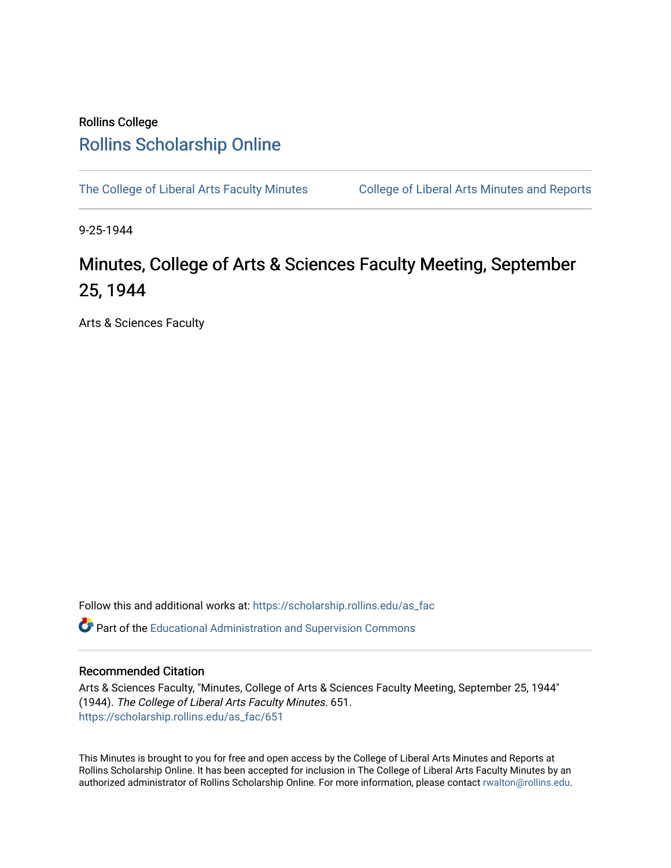## Rollins College [Rollins Scholarship Online](https://scholarship.rollins.edu/)

[The College of Liberal Arts Faculty Minutes](https://scholarship.rollins.edu/as_fac) College of Liberal Arts Minutes and Reports

9-25-1944

## Minutes, College of Arts & Sciences Faculty Meeting, September 25, 1944

Arts & Sciences Faculty

Follow this and additional works at: [https://scholarship.rollins.edu/as\\_fac](https://scholarship.rollins.edu/as_fac?utm_source=scholarship.rollins.edu%2Fas_fac%2F651&utm_medium=PDF&utm_campaign=PDFCoverPages) 

**P** Part of the [Educational Administration and Supervision Commons](http://network.bepress.com/hgg/discipline/787?utm_source=scholarship.rollins.edu%2Fas_fac%2F651&utm_medium=PDF&utm_campaign=PDFCoverPages)

## Recommended Citation

Arts & Sciences Faculty, "Minutes, College of Arts & Sciences Faculty Meeting, September 25, 1944" (1944). The College of Liberal Arts Faculty Minutes. 651. [https://scholarship.rollins.edu/as\\_fac/651](https://scholarship.rollins.edu/as_fac/651?utm_source=scholarship.rollins.edu%2Fas_fac%2F651&utm_medium=PDF&utm_campaign=PDFCoverPages) 

This Minutes is brought to you for free and open access by the College of Liberal Arts Minutes and Reports at Rollins Scholarship Online. It has been accepted for inclusion in The College of Liberal Arts Faculty Minutes by an authorized administrator of Rollins Scholarship Online. For more information, please contact [rwalton@rollins.edu](mailto:rwalton@rollins.edu).